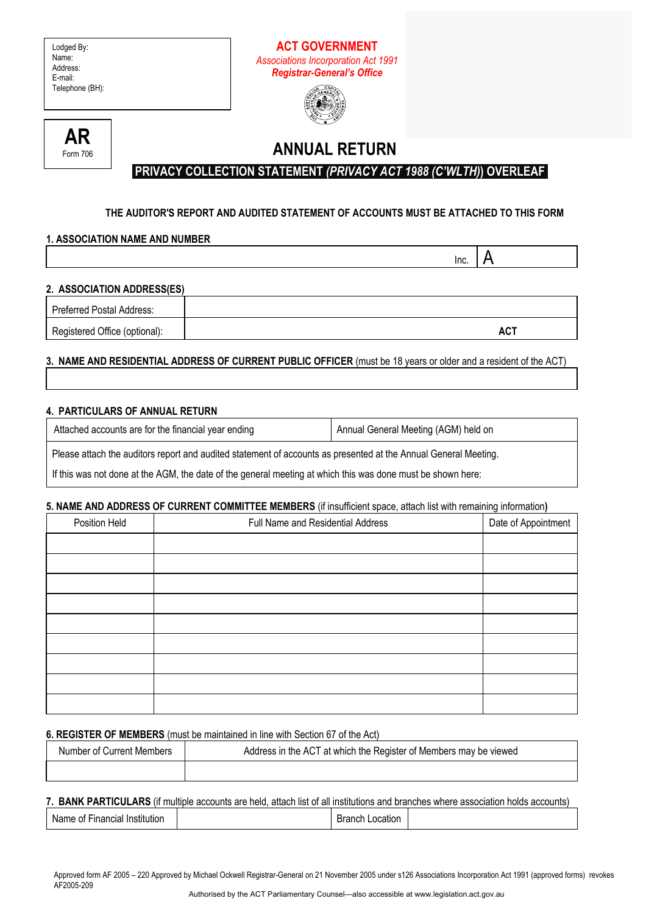## **ACT GOVERNMENT**  *Associations Incorporation Act 1991 Registrar-General's Office*





# **ANNUAL RETURN**

# **PRIVACY COLLECTION STATEMENT** *(PRIVACY ACT 1988 (C'WLTH)***) OVERLEAF**

## **THE AUDITOR'S REPORT AND AUDITED STATEMENT OF ACCOUNTS MUST BE ATTACHED TO THIS FORM**

## **1. ASSOCIATION NAME AND NUMBER**

| 2. ASSOCIATION ADDRESS(ES) |  |
|----------------------------|--|

| Preferred Postal Address:     |     |
|-------------------------------|-----|
| Registered Office (optional): | AC1 |

  $\mathsf{Inc} \mid \mathsf{A}$ 

## **3. NAME AND RESIDENTIAL ADDRESS OF CURRENT PUBLIC OFFICER** (must be 18 years or older and a resident of the ACT)

## **4. PARTICULARS OF ANNUAL RETURN**

| Attached accounts are for the financial year ending                                                             | Annual General Meeting (AGM) held on |
|-----------------------------------------------------------------------------------------------------------------|--------------------------------------|
| Please attach the auditors report and audited statement of accounts as presented at the Annual General Meeting. |                                      |
| If this was not done at the AGM, the date of the general meeting at which this was done must be shown here:     |                                      |

### **5. NAME AND ADDRESS OF CURRENT COMMITTEE MEMBERS** (if insufficient space, attach list with remaining information**)**

| Position Held | Full Name and Residential Address | Date of Appointment |
|---------------|-----------------------------------|---------------------|
|               |                                   |                     |
|               |                                   |                     |
|               |                                   |                     |
|               |                                   |                     |
|               |                                   |                     |
|               |                                   |                     |
|               |                                   |                     |
|               |                                   |                     |
|               |                                   |                     |

### **6. REGISTER OF MEMBERS** (must be maintained in line with Section 67 of the Act)

| Number of Current Members | Address in the ACT at which the Register of Members may be viewed |
|---------------------------|-------------------------------------------------------------------|
|                           |                                                                   |

### **7. BANK PARTICULARS** (if multiple accounts are held, attach list of all institutions and branches where association holds accounts)

| .<br>Financial<br>Institution<br>Name of a | <b>Branch</b><br>∟ocatıon |  |
|--------------------------------------------|---------------------------|--|
|--------------------------------------------|---------------------------|--|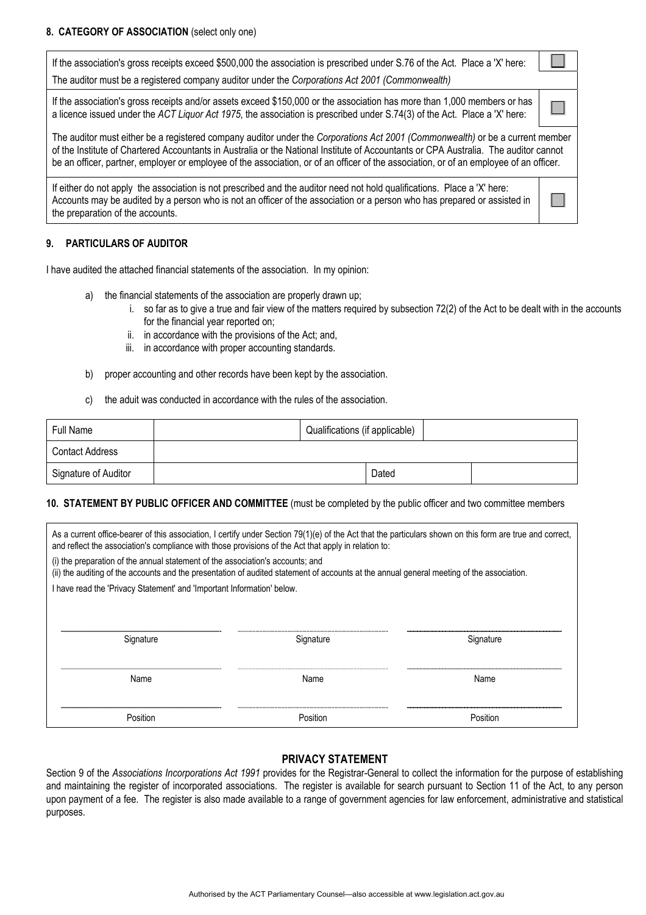|                                                                                                                                                                                                                                                                                                                                                                                                                 | If the association's gross receipts exceed \$500,000 the association is prescribed under S.76 of the Act. Place a 'X' here:<br>The auditor must be a registered company auditor under the Corporations Act 2001 (Commonwealth)                                                           |  |
|-----------------------------------------------------------------------------------------------------------------------------------------------------------------------------------------------------------------------------------------------------------------------------------------------------------------------------------------------------------------------------------------------------------------|------------------------------------------------------------------------------------------------------------------------------------------------------------------------------------------------------------------------------------------------------------------------------------------|--|
|                                                                                                                                                                                                                                                                                                                                                                                                                 |                                                                                                                                                                                                                                                                                          |  |
|                                                                                                                                                                                                                                                                                                                                                                                                                 | If the association's gross receipts and/or assets exceed \$150,000 or the association has more than 1,000 members or has<br>a licence issued under the ACT Liquor Act 1975, the association is prescribed under S.74(3) of the Act. Place a 'X' here:                                    |  |
| The auditor must either be a registered company auditor under the Corporations Act 2001 (Commonwealth) or be a current member<br>of the Institute of Chartered Accountants in Australia or the National Institute of Accountants or CPA Australia. The auditor cannot<br>be an officer, partner, employer or employee of the association, or of an officer of the association, or of an employee of an officer. |                                                                                                                                                                                                                                                                                          |  |
|                                                                                                                                                                                                                                                                                                                                                                                                                 | If either do not apply the association is not prescribed and the auditor need not hold qualifications. Place a 'X' here:<br>Accounts may be audited by a person who is not an officer of the association or a person who has prepared or assisted in<br>the preparation of the accounts. |  |

#### **9. PARTICULARS OF AUDITOR**

I have audited the attached financial statements of the association. In my opinion:

- a) the financial statements of the association are properly drawn up;
	- i. so far as to give a true and fair view of the matters required by subsection 72(2) of the Act to be dealt with in the accounts for the financial year reported on;
	- ii. in accordance with the provisions of the Act; and,
	- iii. in accordance with proper accounting standards.
- b) proper accounting and other records have been kept by the association.
- c) the aduit was conducted in accordance with the rules of the association.

| Full Name                         | Qualifications (if applicable) |       |  |
|-----------------------------------|--------------------------------|-------|--|
| Contact Address                   |                                |       |  |
| <sup>1</sup> Signature of Auditor |                                | Dated |  |

#### **10. STATEMENT BY PUBLIC OFFICER AND COMMITTEE** (must be completed by the public officer and two committee members

| As a current office-bearer of this association, I certify under Section 79(1)(e) of the Act that the particulars shown on this form are true and correct,<br>and reflect the association's compliance with those provisions of the Act that apply in relation to: |           |           |  |
|-------------------------------------------------------------------------------------------------------------------------------------------------------------------------------------------------------------------------------------------------------------------|-----------|-----------|--|
| (i) the preparation of the annual statement of the association's accounts; and<br>(ii) the auditing of the accounts and the presentation of audited statement of accounts at the annual general meeting of the association.                                       |           |           |  |
| I have read the 'Privacy Statement' and 'Important Information' below.                                                                                                                                                                                            |           |           |  |
|                                                                                                                                                                                                                                                                   |           |           |  |
| Signature                                                                                                                                                                                                                                                         | Signature | Signature |  |
|                                                                                                                                                                                                                                                                   |           |           |  |
| Name                                                                                                                                                                                                                                                              | Name      | Name      |  |
|                                                                                                                                                                                                                                                                   |           |           |  |
| Position                                                                                                                                                                                                                                                          | Position  | Position  |  |

### **PRIVACY STATEMENT**

Section 9 of the *Associations Incorporations Act 1991* provides for the Registrar-General to collect the information for the purpose of establishing and maintaining the register of incorporated associations. The register is available for search pursuant to Section 11 of the Act, to any person upon payment of a fee. The register is also made available to a range of government agencies for law enforcement, administrative and statistical purposes.